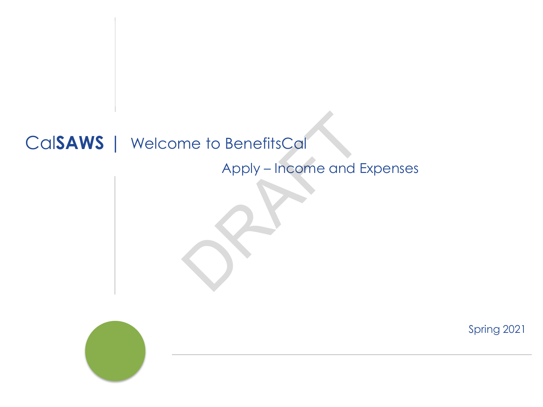# Cal**SAWS** | Welcome to BenefitsCal The to BenefitsCall<br>Apply – Income and B<br>Dramatic School of School School School School School School School School School School School School School School School School School School School School School School School S

Apply – Income and Expenses



Spring 2021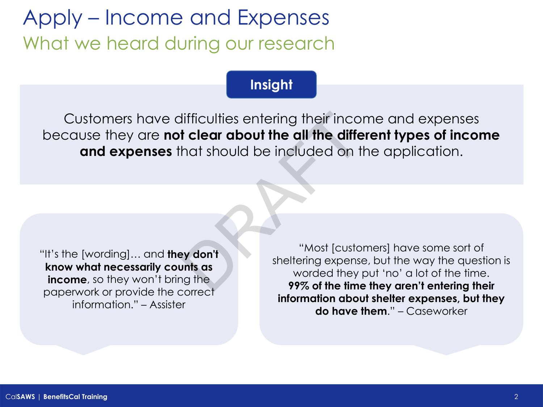# Apply – Income and Expenses What we heard during our research

## **Insight**

Customers have difficulties entering their income and expenses because they are **not clear about the all the different types of income and expenses** that should be included on the application. difficulties entering their inco<br> **t clear about the all the different should be included on that should be included on that should be included on the<br>
ey don't sheltering expenses<br>
times are the series of the time<br>
organi** 

"It's the [wording]… and **they don't know what necessarily counts as income**, so they won't bring the paperwork or provide the correct information." – Assister

"Most [customers] have some sort of sheltering expense, but the way the question is worded they put 'no' a lot of the time. **99% of the time they aren't entering their information about shelter expenses, but they do have them**." – Caseworker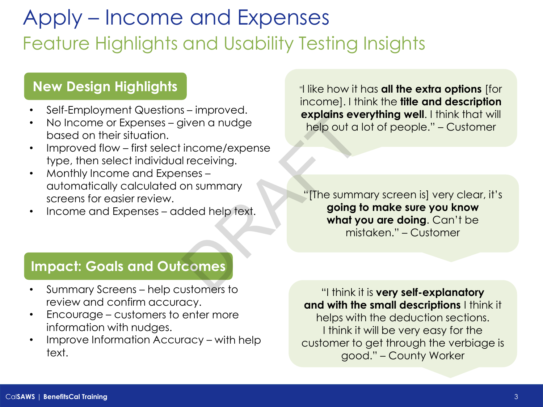# Apply – Income and Expenses Feature Highlights and Usability Testing Insights

# **New Design Highlights**

- Self-Employment Questions improved.
- No Income or Expenses given a nudge based on their situation.
- Improved flow first select income/expense type, then select individual receiving.
- Monthly Income and Expenses automatically calculated on summary screens for easier review.
- Income and Expenses added help text.

"I like how it has **all the extra options** [for income]. I think the **title and description explains everything well**. I think that will help out a lot of people." – Customer

"[The summary screen is] very clear, it's **going to make sure you know what you are doing**. Can't be mistaken." – Customer DRAFT

### **Impact: Goals and Outcomes**

- Summary Screens help customers to review and confirm accuracy.
- Encourage customers to enter more information with nudges.
- Improve Information Accuracy with help text.

"I think it is **very self-explanatory and with the small descriptions** I think it

helps with the deduction sections. I think it will be very easy for the customer to get through the verbiage is good." – County Worker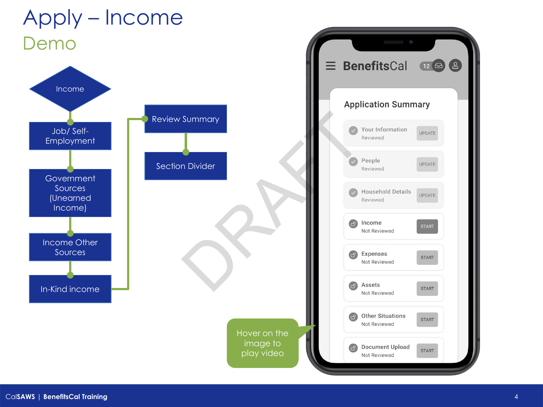